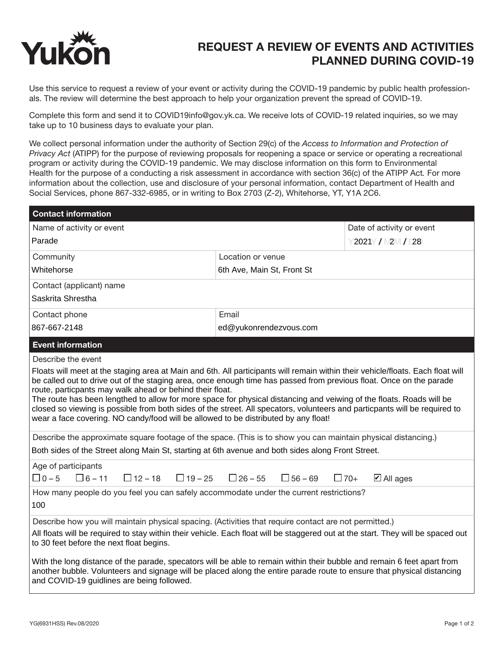

## REQUEST A REVIEW OF EVENTS AND ACTIVITIES PLANNED DURING COVID-19

Use this service to request a review of your event or activity during the COVID-19 pandemic by public health professionals. The review will determine the best approach to help your organization prevent the spread of COVID-19.

Complete this form and send it to COVID19info@gov.yk.ca. We receive lots of COVID-19 related inquiries, so we may take up to 10 business days to evaluate your plan.

We collect personal information under the authority of Section 29(c) of the *Access to Information and Protection of Privacy Act* (ATIPP) for the purpose of reviewing proposals for reopening a space or service or operating a recreational program or activity during the COVID-19 pandemic. We may disclose information on this form to Environmental Health for the purpose of a conducting a risk assessment in accordance with section 36(c) of the ATIPP Act*.* For more information about the collection, use and disclosure of your personal information, contact Department of Health and Social Services, phone 867-332-6985, or in writing to Box 2703 (Z-2), Whitehorse, YT, Y1A 2C6.

| <b>Contact information</b>                                                                                                                                                                                                                                                                                                                                                                                                                                                                                                                                                                                                                                      |                                                 |                                    |
|-----------------------------------------------------------------------------------------------------------------------------------------------------------------------------------------------------------------------------------------------------------------------------------------------------------------------------------------------------------------------------------------------------------------------------------------------------------------------------------------------------------------------------------------------------------------------------------------------------------------------------------------------------------------|-------------------------------------------------|------------------------------------|
| Name of activity or event                                                                                                                                                                                                                                                                                                                                                                                                                                                                                                                                                                                                                                       |                                                 | Date of activity or event          |
| Parade                                                                                                                                                                                                                                                                                                                                                                                                                                                                                                                                                                                                                                                          |                                                 | 2021 / 2 / 28                      |
| Community                                                                                                                                                                                                                                                                                                                                                                                                                                                                                                                                                                                                                                                       | Location or venue                               |                                    |
| Whitehorse                                                                                                                                                                                                                                                                                                                                                                                                                                                                                                                                                                                                                                                      | 6th Ave, Main St, Front St                      |                                    |
| Contact (applicant) name                                                                                                                                                                                                                                                                                                                                                                                                                                                                                                                                                                                                                                        |                                                 |                                    |
| Saskrita Shrestha                                                                                                                                                                                                                                                                                                                                                                                                                                                                                                                                                                                                                                               |                                                 |                                    |
| Contact phone                                                                                                                                                                                                                                                                                                                                                                                                                                                                                                                                                                                                                                                   | Email                                           |                                    |
| 867-667-2148                                                                                                                                                                                                                                                                                                                                                                                                                                                                                                                                                                                                                                                    | ed@yukonrendezvous.com                          |                                    |
| <b>Event information</b>                                                                                                                                                                                                                                                                                                                                                                                                                                                                                                                                                                                                                                        |                                                 |                                    |
| Describe the event                                                                                                                                                                                                                                                                                                                                                                                                                                                                                                                                                                                                                                              |                                                 |                                    |
| Floats will meet at the staging area at Main and 6th. All participants will remain within their vehicle/floats. Each float will<br>be called out to drive out of the staging area, once enough time has passed from previous float. Once on the parade<br>route, particpants may walk ahead or behind their float.<br>The route has been lengthed to allow for more space for physical distancing and veiwing of the floats. Roads will be<br>closed so viewing is possible from both sides of the street. All specators, volunteers and particpants will be required to<br>wear a face covering. NO candy/food will be allowed to be distributed by any float! |                                                 |                                    |
| Describe the approximate square footage of the space. (This is to show you can maintain physical distancing.)<br>Both sides of the Street along Main St, starting at 6th avenue and both sides along Front Street.                                                                                                                                                                                                                                                                                                                                                                                                                                              |                                                 |                                    |
|                                                                                                                                                                                                                                                                                                                                                                                                                                                                                                                                                                                                                                                                 |                                                 |                                    |
| Age of participants<br>$\Box$ 0 – 5<br>$\Box$ 6 – 11<br>$\Box$ 12 – 18                                                                                                                                                                                                                                                                                                                                                                                                                                                                                                                                                                                          | $\Box$ 19 – 25 $\Box$ 26 – 55<br>$\Box$ 56 – 69 | $\Box$ 70+<br>$\boxtimes$ All ages |
| How many people do you feel you can safely accommodate under the current restrictions?<br>100                                                                                                                                                                                                                                                                                                                                                                                                                                                                                                                                                                   |                                                 |                                    |
| Describe how you will maintain physical spacing. (Activities that require contact are not permitted.)<br>All floats will be required to stay within their vehicle. Each float will be staggered out at the start. They will be spaced out<br>to 30 feet before the next float begins.                                                                                                                                                                                                                                                                                                                                                                           |                                                 |                                    |
| With the long distance of the parade, specators will be able to remain within their bubble and remain 6 feet apart from<br>another bubble. Volunteers and signage will be placed along the entire parade route to ensure that physical distancing<br>and COVID-19 guidlines are being followed.                                                                                                                                                                                                                                                                                                                                                                 |                                                 |                                    |